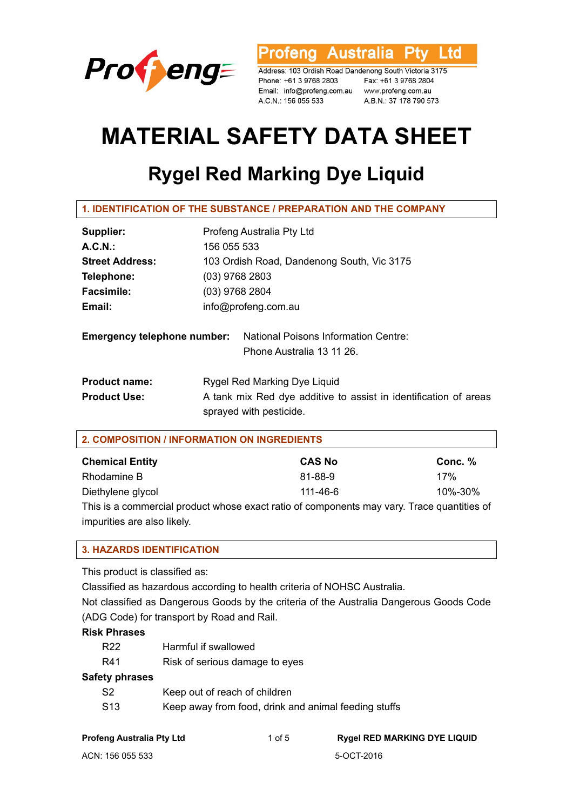

rofeng Australia Ptv Ltd

Address: 103 Ordish Road Dandenong South Victoria 3175 Phone: +61 3 9768 2803 Fax: +61 3 9768 2804<br>Email: info@profeng.com.au www.profeng.com.au A.C.N.: 156 055 533 A.B.N.: 37 178 790 573

# **MATERIAL SAFETY DATA SHEET**

## **Rygel Red Marking Dye Liquid**

**1. IDENTIFICATION OF THE SUBSTANCE / PREPARATION AND THE COMPANY** 

| Supplier:                          | Profeng Australia Pty Ltd                                                                   |  |
|------------------------------------|---------------------------------------------------------------------------------------------|--|
| $A.C.N.$ :                         | 156 055 533                                                                                 |  |
| <b>Street Address:</b>             | 103 Ordish Road, Dandenong South, Vic 3175                                                  |  |
| Telephone:                         | $(03)$ 9768 2803                                                                            |  |
| <b>Facsimile:</b>                  | $(03)$ 9768 2804                                                                            |  |
| Email:                             | info@profeng.com.au                                                                         |  |
| <b>Emergency telephone number:</b> | <b>National Poisons Information Centre:</b><br>Phone Australia 13 11 26.                    |  |
| <b>Product name:</b>               | Rygel Red Marking Dye Liquid                                                                |  |
| <b>Product Use:</b>                | A tank mix Red dye additive to assist in identification of areas<br>sprayed with pesticide. |  |

| <b>Chemical Entity</b>                                                                     | <b>CAS No</b> | Conc. % |
|--------------------------------------------------------------------------------------------|---------------|---------|
| Rhodamine B                                                                                | 81-88-9       | 17%     |
| Diethylene glycol                                                                          | 111-46-6      | 10%-30% |
| This is a commercial product whose exact ratio of components may vary. Trace quantities of |               |         |

impurities are also likely.

#### **3. HAZARDS IDENTIFICATION**

This product is classified as:

Classified as hazardous according to health criteria of NOHSC Australia.

Not classified as Dangerous Goods by the criteria of the Australia Dangerous Goods Code (ADG Code) for transport by Road and Rail.

#### **Risk Phrases**

| R22 | Harmful if swallowed           |
|-----|--------------------------------|
| R41 | Risk of serious damage to eyes |

#### **Safety phrases**

- S2 Keep out of reach of children S13 Keep away from food, drink and animal feeding stuffs
-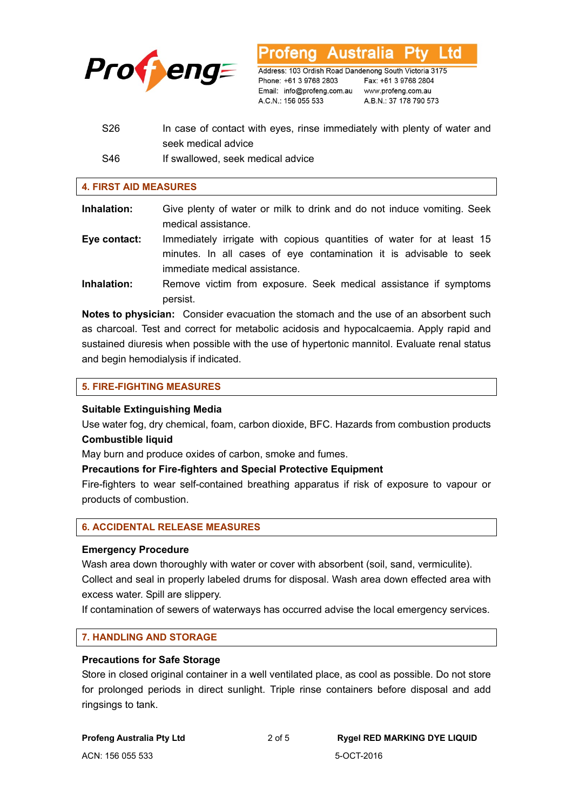

Australia Address: 103 Ordish Road Dandenong South Victoria 3175 Phone: +61 3 9768 2803 Email: info@profeng.com.au www.profeng.com.au A.C.N.: 156 055 533

Fax: +61 3 9768 2804 A.B.N.: 37 178 790 573

∟td

S26 In case of contact with eyes, rinse immediately with plenty of water and seek medical advice S46 If swallowed, seek medical advice

#### **4. FIRST AID MEASURES**

- **Inhalation:** Give plenty of water or milk to drink and do not induce vomiting. Seek medical assistance.
- **Eye contact:** Immediately irrigate with copious quantities of water for at least 15 minutes. In all cases of eye contamination it is advisable to seek immediate medical assistance.
- **Inhalation:** Remove victim from exposure. Seek medical assistance if symptoms persist.

**Notes to physician:** Consider evacuation the stomach and the use of an absorbent such as charcoal. Test and correct for metabolic acidosis and hypocalcaemia. Apply rapid and sustained diuresis when possible with the use of hypertonic mannitol. Evaluate renal status and begin hemodialysis if indicated.

#### **5. FIRE-FIGHTING MEASURES**

#### **Suitable Extinguishing Media**

Use water fog, dry chemical, foam, carbon dioxide, BFC. Hazards from combustion products **Combustible liquid** 

May burn and produce oxides of carbon, smoke and fumes.

#### **Precautions for Fire-fighters and Special Protective Equipment**

Fire-fighters to wear self-contained breathing apparatus if risk of exposure to vapour or products of combustion.

#### **6. ACCIDENTAL RELEASE MEASURES**

#### **Emergency Procedure**

Wash area down thoroughly with water or cover with absorbent (soil, sand, vermiculite). Collect and seal in properly labeled drums for disposal. Wash area down effected area with excess water. Spill are slippery.

If contamination of sewers of waterways has occurred advise the local emergency services.

#### **7. HANDLING AND STORAGE**

#### **Precautions for Safe Storage**

Store in closed original container in a well ventilated place, as cool as possible. Do not store for prolonged periods in direct sunlight. Triple rinse containers before disposal and add ringsings to tank.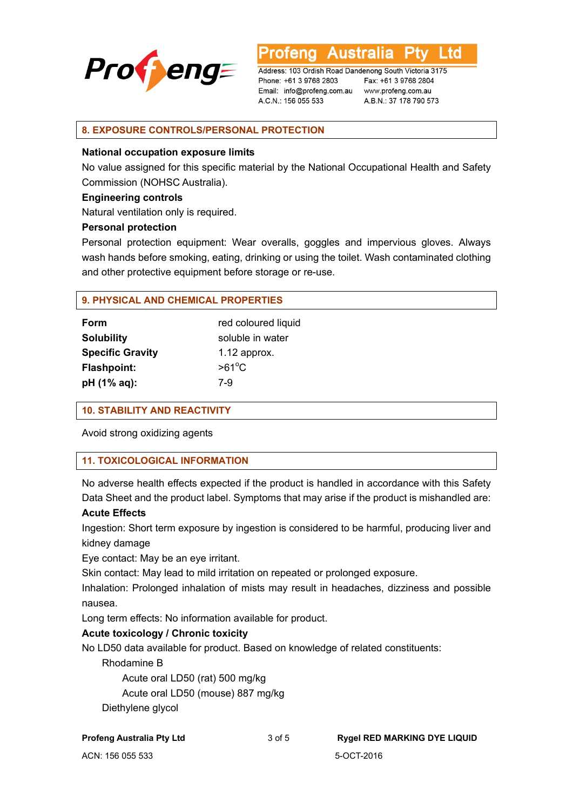

Australia ∟td

Address: 103 Ordish Road Dandenong South Victoria 3175 Phone: +61 3 9768 2803 Email: info@profeng.com.au www.profeng.com.au A.C.N.: 156 055 533

Fax: +61 3 9768 2804 A.B.N.: 37 178 790 573

#### **8. EXPOSURE CONTROLS/PERSONAL PROTECTION**

#### **National occupation exposure limits**

No value assigned for this specific material by the National Occupational Health and Safety Commission (NOHSC Australia).

#### **Engineering controls**

Natural ventilation only is required.

#### **Personal protection**

Personal protection equipment: Wear overalls, goggles and impervious gloves. Always wash hands before smoking, eating, drinking or using the toilet. Wash contaminated clothing and other protective equipment before storage or re-use.

#### **9. PHYSICAL AND CHEMICAL PROPERTIES**

| <b>Form</b>             | red coloured liquid |
|-------------------------|---------------------|
| <b>Solubility</b>       | soluble in water    |
| <b>Specific Gravity</b> | $1.12$ approx.      |
| <b>Flashpoint:</b>      | $>61^{\circ}$ C     |
| pH (1% aq):             | 7-9                 |

#### **10. STABILITY AND REACTIVITY**

Avoid strong oxidizing agents

#### **11. TOXICOLOGICAL INFORMATION**

No adverse health effects expected if the product is handled in accordance with this Safety Data Sheet and the product label. Symptoms that may arise if the product is mishandled are:

#### **Acute Effects**

Ingestion: Short term exposure by ingestion is considered to be harmful, producing liver and kidney damage

Eye contact: May be an eye irritant.

Skin contact: May lead to mild irritation on repeated or prolonged exposure.

Inhalation: Prolonged inhalation of mists may result in headaches, dizziness and possible nausea.

Long term effects: No information available for product.

#### **Acute toxicology / Chronic toxicity**

No LD50 data available for product. Based on knowledge of related constituents:

#### Rhodamine B

Acute oral LD50 (rat) 500 mg/kg

Acute oral LD50 (mouse) 887 mg/kg

Diethylene glycol

### **Profeng Australia Pty Ltd** 3 of 5 **Rygel RED MARKING DYE LIQUID**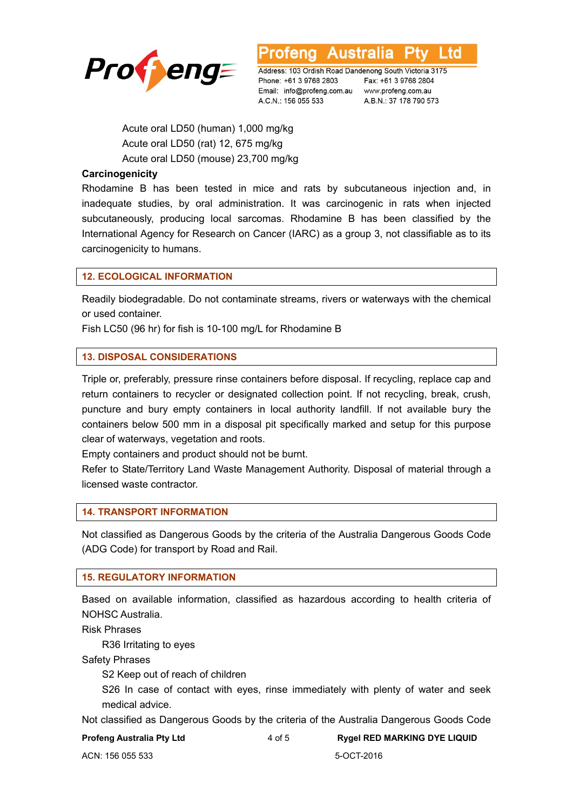

**Australia** Ltd

Address: 103 Ordish Road Dandenong South Victoria 3175 Phone: +61 3 9768 2803 Email: info@profeng.com.au www.profeng.com.au A.C.N.: 156 055 533

Fax: +61 3 9768 2804 A.B.N.: 37 178 790 573

 Acute oral LD50 (human) 1,000 mg/kg Acute oral LD50 (rat) 12, 675 mg/kg Acute oral LD50 (mouse) 23,700 mg/kg

#### **Carcinogenicity**

Rhodamine B has been tested in mice and rats by subcutaneous injection and, in inadequate studies, by oral administration. It was carcinogenic in rats when injected subcutaneously, producing local sarcomas. Rhodamine B has been classified by the International Agency for Research on Cancer (IARC) as a group 3, not classifiable as to its carcinogenicity to humans.

#### **12. ECOLOGICAL INFORMATION**

Readily biodegradable. Do not contaminate streams, rivers or waterways with the chemical or used container.

Fish LC50 (96 hr) for fish is 10-100 mg/L for Rhodamine B

#### **13. DISPOSAL CONSIDERATIONS**

Triple or, preferably, pressure rinse containers before disposal. If recycling, replace cap and return containers to recycler or designated collection point. If not recycling, break, crush, puncture and bury empty containers in local authority landfill. If not available bury the containers below 500 mm in a disposal pit specifically marked and setup for this purpose clear of waterways, vegetation and roots.

Empty containers and product should not be burnt.

Refer to State/Territory Land Waste Management Authority. Disposal of material through a licensed waste contractor.

#### **14. TRANSPORT INFORMATION**

Not classified as Dangerous Goods by the criteria of the Australia Dangerous Goods Code (ADG Code) for transport by Road and Rail.

#### **15. REGULATORY INFORMATION**

Based on available information, classified as hazardous according to health criteria of NOHSC Australia.

Risk Phrases

R36 Irritating to eyes

Safety Phrases

S2 Keep out of reach of children

S26 In case of contact with eyes, rinse immediately with plenty of water and seek medical advice.

Not classified as Dangerous Goods by the criteria of the Australia Dangerous Goods Code

**Profeng Australia Pty Ltd** 4 of 5 **Rygel RED MARKING DYE LIQUID**